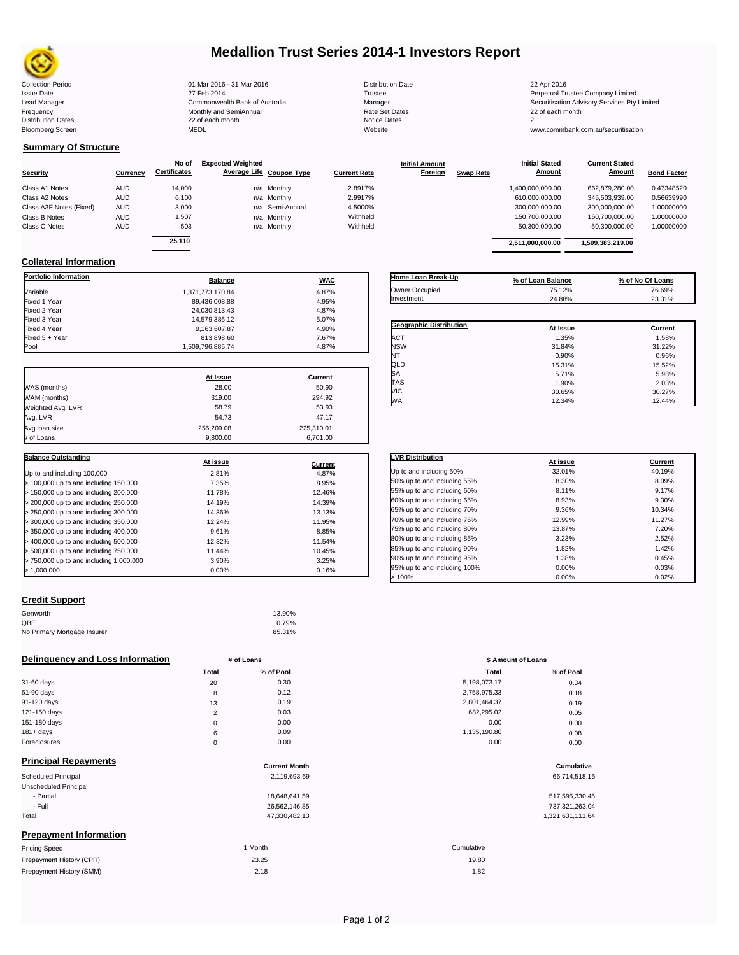

# **Medallion Trust Series 2014-1 Investors Report**

| <b>Collection Period</b>  | 01 Mar 2016 - 31 Mar 2016      | <b>Distribution Date</b> | 22 Apr 2016                             |
|---------------------------|--------------------------------|--------------------------|-----------------------------------------|
| <b>Issue Date</b>         | 27 Feb 2014                    | Trustee                  | Perpetual Trustee Company Limited       |
| Lead Manager              | Commonwealth Bank of Australia | Manager                  | Securitisation Advisory Services Pty Li |
| Frequency                 | Monthly and SemiAnnual         | <b>Rate Set Dates</b>    | 22 of each month                        |
| <b>Distribution Dates</b> | 22 of each month               | Notice Dates             |                                         |
| <b>Bloomberg Screen</b>   | <b>MEDL</b>                    | Website                  | www.commbank.com.au/securitisation      |

**Initial Amount** 

**Current Stated** 

## **Summary Of Structure**

|                         |            | No of               | <b>Expected Weighted</b> |                 |                     | <b>Initial Amount</b> |                  | <b>Initial Stated</b> | <b>Current Stated</b> |                    |
|-------------------------|------------|---------------------|--------------------------|-----------------|---------------------|-----------------------|------------------|-----------------------|-----------------------|--------------------|
| <b>Security</b>         | Currency   | <b>Certificates</b> | Average Life Coupon Type |                 | <b>Current Rate</b> | Foreign               | <b>Swap Rate</b> | <b>Amount</b>         | <b>Amount</b>         | <b>Bond Factor</b> |
| Class A1 Notes          | <b>AUD</b> | 14,000              |                          | n/a Monthly     | 2.8917%             |                       |                  | 1,400,000,000.00      | 662.879.280.00        | 0.47348520         |
| Class A2 Notes          | <b>AUD</b> | 6.100               |                          | n/a Monthly     | 2.9917%             |                       |                  | 610.000.000.00        | 345.503.939.00        | 0.56639990         |
| Class A3F Notes (Fixed) | <b>AUD</b> | 3,000               |                          | n/a Semi-Annual | 4.5000%             |                       |                  | 300,000,000.00        | 300,000,000.00        | 1.00000000         |
| Class B Notes           | <b>AUD</b> | 1.507               |                          | n/a Monthly     | Withheld            |                       |                  | 150,700,000.00        | 150.700.000.00        | 1.00000000         |
| Class C Notes           | <b>AUD</b> | 503                 |                          | n/a Monthly     | Withheld            |                       |                  | 50,300,000.00         | 50.300.000.00         | 1.00000000         |
|                         |            | $-11$               |                          |                 |                     |                       |                  |                       |                       |                    |

| 14.000<br>2.8917%<br>662.879.280.00<br>1.400.000.000.00<br>n/a Monthly<br>n/a Monthly<br>6.100<br>345.503.939.00<br>2.9917%<br>610.000.000.00<br>3.000<br>n/a Semi-Annual<br>300.000.000.00<br>4.5000%<br>300.000.000.00<br>Withheld<br>1,507<br>150.700.000.00<br>150.700.000.00<br>n/a Monthly<br>n/a Monthly<br>Withheld<br>503<br>50.300.000.00<br>50.300.000.00<br>1,509,383,219.00<br>2.511.000.000.00 | ificates | Average Life Coupon Type | <b>Current Rate</b> | <b>Foreign</b> | <b>Swap Rate</b> | Amount | Amount | <b>Bond Factor</b> |
|--------------------------------------------------------------------------------------------------------------------------------------------------------------------------------------------------------------------------------------------------------------------------------------------------------------------------------------------------------------------------------------------------------------|----------|--------------------------|---------------------|----------------|------------------|--------|--------|--------------------|
| 25.110                                                                                                                                                                                                                                                                                                                                                                                                       |          |                          |                     |                |                  |        |        | 0.47348520         |
|                                                                                                                                                                                                                                                                                                                                                                                                              |          |                          |                     |                |                  |        |        | 0.56639990         |
|                                                                                                                                                                                                                                                                                                                                                                                                              |          |                          |                     |                |                  |        |        | 1.00000000         |
|                                                                                                                                                                                                                                                                                                                                                                                                              |          |                          |                     |                |                  |        |        | 1.00000000         |
|                                                                                                                                                                                                                                                                                                                                                                                                              |          |                          |                     |                |                  |        |        | 1.00000000         |
|                                                                                                                                                                                                                                                                                                                                                                                                              |          |                          |                     |                |                  |        |        |                    |
|                                                                                                                                                                                                                                                                                                                                                                                                              |          |                          |                     |                |                  |        |        |                    |

**Initial Stated** 

## **Collateral Information**

| Portfolio Information                   | <b>Balance</b>   | <b>WAC</b>       |
|-----------------------------------------|------------------|------------------|
| Variable                                | 1.371.773.170.84 | 4.87%            |
| Fixed 1 Year                            | 89,436,008.88    | 4.95%            |
| Fixed 2 Year                            | 24,030,813.43    | 4.87%            |
| Fixed 3 Year                            | 14,579,386.12    | 5.07%            |
| Fixed 4 Year                            | 9.163.607.87     | 4.90%            |
| Fixed 5 + Year                          | 813,898.60       | 7.67%            |
| Pool                                    | 1,509,796,885.74 | 4.87%            |
|                                         | At Issue         | <b>Current</b>   |
|                                         | 28.00            | 50.90            |
| WAS (months)                            |                  |                  |
| WAM (months)                            | 319.00           | 294.92           |
| Weighted Avg. LVR                       | 58.79            | 53.93            |
| Avg. LVR                                | 54.73            | 47.17            |
| Avg loan size                           | 256,209.08       | 225,310.01       |
| # of Loans                              | 9,800.00         | 6,701.00         |
| <b>Balance Outstanding</b>              | At issue         |                  |
|                                         | 2.81%            | Current<br>4.87% |
| Up to and including 100,000             |                  |                  |
| > 100,000 up to and including 150,000   | 7.35%            | 8.95%            |
| > 150,000 up to and including 200,000   | 11.78%           | 12.46%           |
| > 200,000 up to and including 250,000   | 14.19%           | 14.39%           |
| > 250,000 up to and including 300,000   | 14.36%           | 13.13%           |
| > 300,000 up to and including 350,000   | 12.24%           | 11.95%           |
| > 350,000 up to and including 400,000   | 9.61%            | 8.85%            |
| > 400,000 up to and including 500,000   | 12.32%           | 11.54%           |
| > 500,000 up to and including 750,000   | 11.44%           | 10.45%           |
| > 750,000 up to and including 1,000,000 | 3.90%            | 3.25%            |
| > 1,000,000                             | 0.00%            | 0.16%            |

| Home Loan Break-Up      | % of Loan Balance | % of No Of Loans |
|-------------------------|-------------------|------------------|
| Owner Occupied          | 75.12%            | 76.69%           |
| Investment              | 24.88%            | 23.31%           |
|                         |                   |                  |
| Geographic Distribution | At Issue          | Current          |
| <b>ACT</b>              | 1.35%             | 1.58%            |
| <b>NSW</b>              | 31.84%            | 31.22%           |
| NT                      | 0.90%             | 0.96%            |
| QLD                     | 15.31%            | 15.52%           |
| lSА                     | 5.71%             | 5.98%            |
| <b>TAS</b>              | 1.90%             | 2.03%            |
| VIC                     | 30.65%            | 30.27%           |
| <b>WA</b>               | 12.34%            | 12.44%           |

| <b>LVR Distribution</b>      | At issue | Current |
|------------------------------|----------|---------|
| Up to and including 50%      | 32.01%   | 40.19%  |
| 50% up to and including 55%  | 8.30%    | 8.09%   |
| 55% up to and including 60%  | 8.11%    | 9.17%   |
| 60% up to and including 65%  | 8.93%    | 9.30%   |
| 65% up to and including 70%  | 9.36%    | 10.34%  |
| 70% up to and including 75%  | 12.99%   | 11.27%  |
| 75% up to and including 80%  | 13.87%   | 7.20%   |
| 80% up to and including 85%  | 3.23%    | 2.52%   |
| 85% up to and including 90%  | 1.82%    | 1.42%   |
| 90% up to and including 95%  | 1.38%    | 0.45%   |
| 95% up to and including 100% | 0.00%    | 0.03%   |
| >100%                        | 0.00%    | 0.02%   |

### **Credit Support**

Prepayment History (SMM)

| Genworth                    | 13.90% |
|-----------------------------|--------|
| OBE                         | 0.79%  |
| No Primary Mortgage Insurer | 85.31% |

### **Delinquency and Loss Information # of Loans # of Loans \$ Amount of Loans**

|              | Total    | % of Pool | <b>Total</b> | % of Pool |
|--------------|----------|-----------|--------------|-----------|
| 31-60 days   | 20       | 0.30      | 5,198,073.17 | 0.34      |
| 61-90 days   | 8        | 0.12      | 2,758,975.33 | 0.18      |
| 91-120 days  | 13       | 0.19      | 2,801,464.37 | 0.19      |
| 121-150 days | $\Omega$ | 0.03      | 682,295.02   | 0.05      |
| 151-180 days | $\Omega$ | 0.00      | 0.00         | 0.00      |
| $181 + days$ | 6        | 0.09      | 1,135,190.80 | 0.08      |
| Foreclosures | $\Omega$ | 0.00      | 0.00         | 0.00      |

| <b>Principal Repayments</b>   |                      |                  |
|-------------------------------|----------------------|------------------|
|                               | <b>Current Month</b> | Cumulative       |
| Scheduled Principal           | 2,119,693.69         | 66,714,518.15    |
| Unscheduled Principal         |                      |                  |
| - Partial                     | 18,648,641.59        | 517,595,330.45   |
| - Full                        | 26,562,146.85        | 737,321,263.04   |
| Total                         | 47,330,482.13        | 1,321,631,111.64 |
| <b>Prepayment Information</b> |                      |                  |
| <b>Pricing Speed</b>          | 1 Month              | Cumulative       |
| Prepayment History (CPR)      | 23.25                | 19.80            |

| <b>Total</b>   | % of Pool | <b>Total</b> | % of Pool |  |
|----------------|-----------|--------------|-----------|--|
| 20             | 0.30      | 5,198,073.17 | 0.34      |  |
| 8              | 0.12      | 2,758,975.33 | 0.18      |  |
| 13             | 0.19      | 2,801,464.37 | 0.19      |  |
| $\overline{2}$ | 0.03      | 682,295.02   | 0.05      |  |
| 0              | 0.00      | 0.00         | 0.00      |  |
| 6              | 0.09      | 1,135,190.80 | 0.08      |  |
| 0              | 0.00      | 0.00         | 0.00      |  |
|                |           |              |           |  |

## **Cumulative**

| 517,595,330.45   |
|------------------|
| 737,321,263.04   |
| 1.321.631.111.64 |

## $2.18$  1.82 19.80